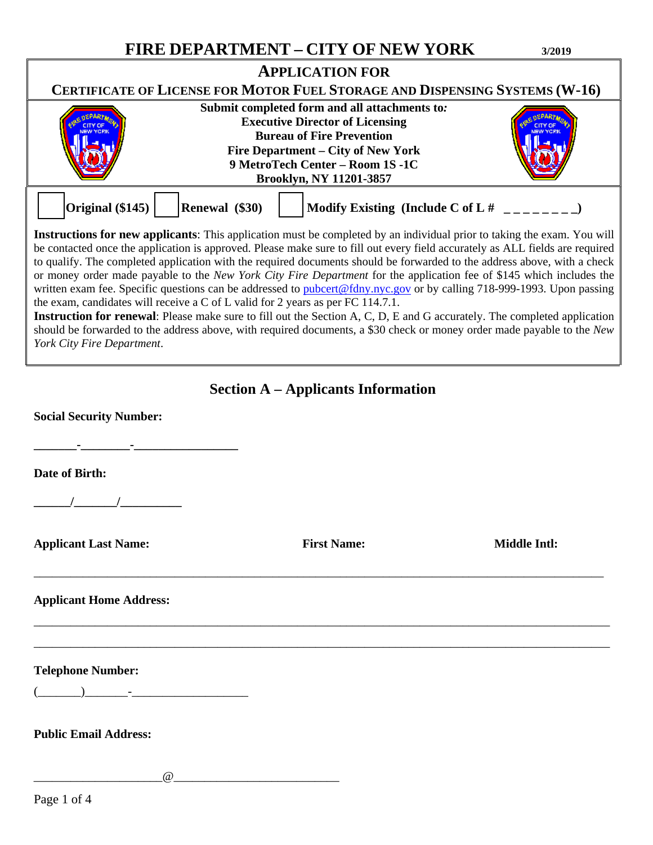# **FIRE DEPARTMENT – CITY OF NEW YORK 3/2019**

| <b>APPLICATION FOR</b>                                                                                                                                                                                                                                                                                                                                                                                                                                                                                                                                                                                                                                                                                                                                                                                                                                                                                                                                                                                                       |                |                    |                                          |  |
|------------------------------------------------------------------------------------------------------------------------------------------------------------------------------------------------------------------------------------------------------------------------------------------------------------------------------------------------------------------------------------------------------------------------------------------------------------------------------------------------------------------------------------------------------------------------------------------------------------------------------------------------------------------------------------------------------------------------------------------------------------------------------------------------------------------------------------------------------------------------------------------------------------------------------------------------------------------------------------------------------------------------------|----------------|--------------------|------------------------------------------|--|
| CERTIFICATE OF LICENSE FOR MOTOR FUEL STORAGE AND DISPENSING SYSTEMS (W-16)<br>Submit completed form and all attachments to:<br><b>Executive Director of Licensing</b><br><b>Bureau of Fire Prevention</b><br>Fire Department - City of New York<br>9 MetroTech Center - Room 1S -1C<br><b>Brooklyn, NY 11201-3857</b>                                                                                                                                                                                                                                                                                                                                                                                                                                                                                                                                                                                                                                                                                                       |                |                    |                                          |  |
| Original (\$145)                                                                                                                                                                                                                                                                                                                                                                                                                                                                                                                                                                                                                                                                                                                                                                                                                                                                                                                                                                                                             | Renewal (\$30) |                    | Modify Existing (Include C of L # $\Box$ |  |
| <b>Instructions for new applicants:</b> This application must be completed by an individual prior to taking the exam. You will<br>be contacted once the application is approved. Please make sure to fill out every field accurately as ALL fields are required<br>to qualify. The completed application with the required documents should be forwarded to the address above, with a check<br>or money order made payable to the New York City Fire Department for the application fee of \$145 which includes the<br>written exam fee. Specific questions can be addressed to pubcert@fdny.nyc.gov or by calling 718-999-1993. Upon passing<br>the exam, candidates will receive a C of L valid for 2 years as per FC 114.7.1.<br><b>Instruction for renewal</b> : Please make sure to fill out the Section A, C, D, E and G accurately. The completed application<br>should be forwarded to the address above, with required documents, a \$30 check or money order made payable to the New<br>York City Fire Department. |                |                    |                                          |  |
| <b>Section A</b> – Applicants Information                                                                                                                                                                                                                                                                                                                                                                                                                                                                                                                                                                                                                                                                                                                                                                                                                                                                                                                                                                                    |                |                    |                                          |  |
| <b>Social Security Number:</b>                                                                                                                                                                                                                                                                                                                                                                                                                                                                                                                                                                                                                                                                                                                                                                                                                                                                                                                                                                                               |                |                    |                                          |  |
| Date of Birth:                                                                                                                                                                                                                                                                                                                                                                                                                                                                                                                                                                                                                                                                                                                                                                                                                                                                                                                                                                                                               |                |                    |                                          |  |
|                                                                                                                                                                                                                                                                                                                                                                                                                                                                                                                                                                                                                                                                                                                                                                                                                                                                                                                                                                                                                              |                |                    |                                          |  |
| <b>Applicant Last Name:</b>                                                                                                                                                                                                                                                                                                                                                                                                                                                                                                                                                                                                                                                                                                                                                                                                                                                                                                                                                                                                  |                | <b>First Name:</b> | Middle Intl:                             |  |
| <b>Applicant Home Address:</b>                                                                                                                                                                                                                                                                                                                                                                                                                                                                                                                                                                                                                                                                                                                                                                                                                                                                                                                                                                                               |                |                    |                                          |  |
| <b>Telephone Number:</b><br><u> 1980 - Jan Jan Jawa Barat, masjid a shekara 1980 - 1981 - 1982 - 1982 - 1982 - 1982 - 1982 - 1982 - 1982 - 1</u>                                                                                                                                                                                                                                                                                                                                                                                                                                                                                                                                                                                                                                                                                                                                                                                                                                                                             |                |                    |                                          |  |
| <b>Public Email Address:</b>                                                                                                                                                                                                                                                                                                                                                                                                                                                                                                                                                                                                                                                                                                                                                                                                                                                                                                                                                                                                 |                |                    |                                          |  |
| $\omega$                                                                                                                                                                                                                                                                                                                                                                                                                                                                                                                                                                                                                                                                                                                                                                                                                                                                                                                                                                                                                     |                |                    |                                          |  |
| Page 1 of 4                                                                                                                                                                                                                                                                                                                                                                                                                                                                                                                                                                                                                                                                                                                                                                                                                                                                                                                                                                                                                  |                |                    |                                          |  |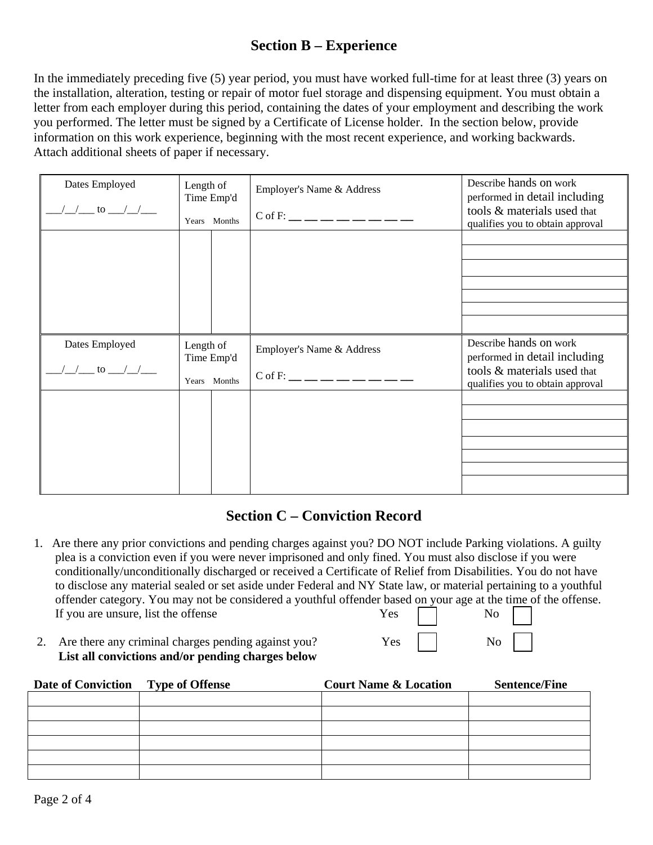# **Section B – Experience**

In the immediately preceding five (5) year period, you must have worked full-time for at least three (3) years on the installation, alteration, testing or repair of motor fuel storage and dispensing equipment. You must obtain a letter from each employer during this period, containing the dates of your employment and describing the work you performed. The letter must be signed by a Certificate of License holder. In the section below, provide information on this work experience, beginning with the most recent experience, and working backwards. Attach additional sheets of paper if necessary.

| Dates Employed<br>$\frac{1}{2}$ to $\frac{1}{2}$               | Length of<br>Time Emp'd<br>Years Months | Employer's Name & Address<br>$C$ of F: __ __ __ __ __ __ __ __ | Describe hands on work<br>performed in detail including<br>tools & materials used that<br>qualifies you to obtain approval |
|----------------------------------------------------------------|-----------------------------------------|----------------------------------------------------------------|----------------------------------------------------------------------------------------------------------------------------|
|                                                                |                                         |                                                                |                                                                                                                            |
| Dates Employed<br>$\frac{1}{\sqrt{2}}$ to $\frac{1}{\sqrt{2}}$ | Length of<br>Time Emp'd<br>Years Months | Employer's Name & Address<br>$C$ of F: __ __ __ __ __ __ __    | Describe hands on work<br>performed in detail including<br>tools & materials used that<br>qualifies you to obtain approval |
|                                                                |                                         |                                                                |                                                                                                                            |

# **Section C – Conviction Record**

- 1. Are there any prior convictions and pending charges against you? DO NOT include Parking violations. A guilty plea is a conviction even if you were never imprisoned and only fined. You must also disclose if you were conditionally/unconditionally discharged or received a Certificate of Relief from Disabilities. You do not have to disclose any material sealed or set aside under Federal and NY State law, or material pertaining to a youthful offender category. You may not be considered a youthful offender based on your age at the time of the offense. If you are unsure, list the offense Yes No
- 2. Are there any criminal charges pending against you? Yes No **List all convictions and/or pending charges below**

| Date of Conviction Type of Offense | <b>Court Name &amp; Location</b> | <b>Sentence/Fine</b> |
|------------------------------------|----------------------------------|----------------------|
|                                    |                                  |                      |
|                                    |                                  |                      |
|                                    |                                  |                      |
|                                    |                                  |                      |
|                                    |                                  |                      |
|                                    |                                  |                      |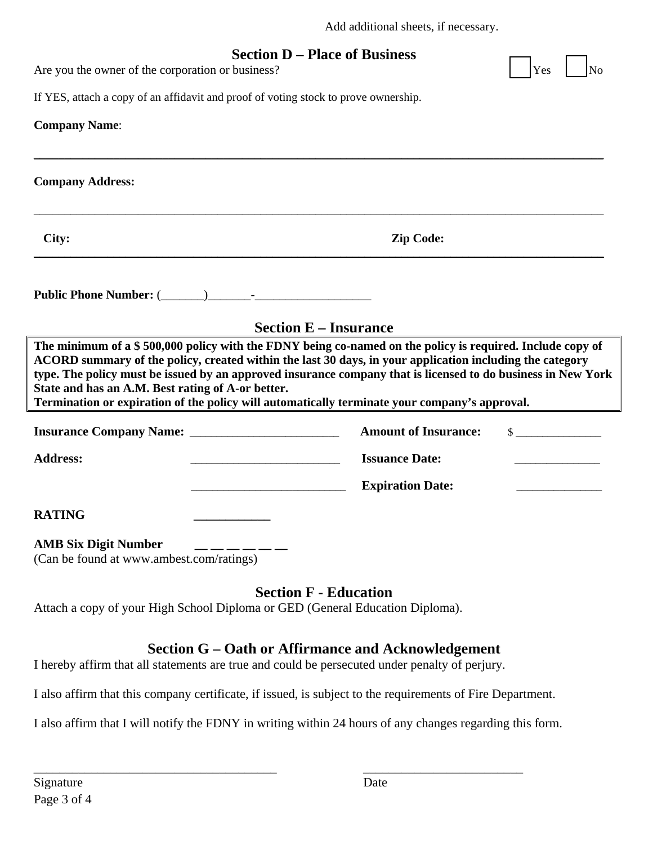| Add additional sheets, if necessary. |
|--------------------------------------|
|--------------------------------------|

### **Section D – Place of Business**

 $\_$  ,  $\_$  ,  $\_$  ,  $\_$  ,  $\_$  ,  $\_$  ,  $\_$  ,  $\_$  ,  $\_$  ,  $\_$  ,  $\_$  ,  $\_$  ,  $\_$  ,  $\_$  ,  $\_$  ,  $\_$  ,  $\_$  ,  $\_$  ,  $\_$  ,  $\_$  ,  $\_$  ,  $\_$  ,  $\_$  ,  $\_$  ,  $\_$  ,  $\_$  ,  $\_$  ,  $\_$  ,  $\_$  ,  $\_$  ,  $\_$  ,  $\_$  ,  $\_$  ,  $\_$  ,  $\_$  ,  $\_$  ,  $\_$  ,

\_\_\_\_\_\_\_\_\_\_\_\_\_\_\_\_\_\_\_\_\_\_\_\_\_\_\_\_\_\_\_\_\_\_\_\_\_\_\_\_\_\_\_\_\_\_\_\_\_\_\_\_\_\_\_\_\_\_\_\_\_\_\_\_\_\_\_\_\_\_\_\_\_\_\_\_\_\_\_\_\_\_\_\_\_\_\_\_\_\_\_\_\_

Are you the owner of the corporation or business?

| Yes | INo |
|-----|-----|
|     |     |

If YES, attach a copy of an affidavit and proof of voting stock to prove ownership.

#### **Company Name**:

**Company Address:** 

\_\_\_\_\_\_\_\_\_\_\_\_\_\_\_\_\_\_\_\_\_\_\_\_\_\_\_\_\_\_\_\_\_\_\_\_\_\_\_\_\_\_\_\_\_\_\_\_\_\_\_\_\_\_\_\_\_\_\_\_\_\_\_\_\_\_\_\_\_\_\_\_\_\_\_\_\_\_\_\_\_\_\_\_\_\_\_\_\_\_\_\_\_

**City: Zip Code:**

**Public Phone Number:** (\_\_\_\_\_\_\_)\_\_\_\_\_\_\_-\_\_\_\_\_\_\_\_\_\_\_\_\_\_\_\_\_\_\_

**Section E – Insurance** 

**The minimum of a \$ 500,000 policy with the FDNY being co-named on the policy is required. Include copy of ACORD summary of the policy, created within the last 30 days, in your application including the category type. The policy must be issued by an approved insurance company that is licensed to do business in New York State and has an A.M. Best rating of A-or better.** 

**Termination or expiration of the policy will automatically terminate your company's approval.** 

| <b>Insurance Company Name:</b> | <b>Amount of Insurance:</b> |  |
|--------------------------------|-----------------------------|--|
| <b>Address:</b>                | <b>Issuance Date:</b>       |  |
|                                | <b>Expiration Date:</b>     |  |
|                                |                             |  |

**RATING \_\_\_\_\_\_\_\_\_\_\_\_** 

#### **AMB Six Digit Number \_\_ \_\_ \_\_ \_\_ \_\_ \_\_**

(Can be found at www.ambest.com/ratings)

### **Section F - Education**

Attach a copy of your High School Diploma or GED (General Education Diploma).

## **Section G – Oath or Affirmance and Acknowledgement**

I hereby affirm that all statements are true and could be persecuted under penalty of perjury.

I also affirm that this company certificate, if issued, is subject to the requirements of Fire Department.

I also affirm that I will notify the FDNY in writing within 24 hours of any changes regarding this form.

\_\_\_\_\_\_\_\_\_\_\_\_\_\_\_\_\_\_\_\_\_\_\_\_\_\_\_\_\_\_\_\_\_\_\_\_\_\_ \_\_\_\_\_\_\_\_\_\_\_\_\_\_\_\_\_\_\_\_\_\_\_\_\_